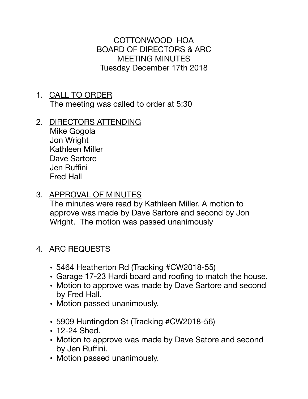COTTONWOOD HOA BOARD OF DIRECTORS & ARC MEETING MINUTES Tuesday December 17th 2018

- 1. CALL TO ORDER The meeting was called to order at 5:30
- 2. DIRECTORS ATTENDING

Mike Gogola Jon Wright Kathleen Miller Dave Sartore Jen Ruffini Fred Hall

## 3. APPROVAL OF MINUTES

The minutes were read by Kathleen Miller. A motion to approve was made by Dave Sartore and second by Jon Wright. The motion was passed unanimously

## 4. ARC REQUESTS

- 5464 Heatherton Rd (Tracking #CW2018-55)
- Garage 17-23 Hardi board and roofing to match the house.
- Motion to approve was made by Dave Sartore and second by Fred Hall.
- Motion passed unanimously.
- 5909 Huntingdon St (Tracking #CW2018-56)
- 12-24 Shed.
- Motion to approve was made by Dave Satore and second by Jen Ruffini.
- Motion passed unanimously.